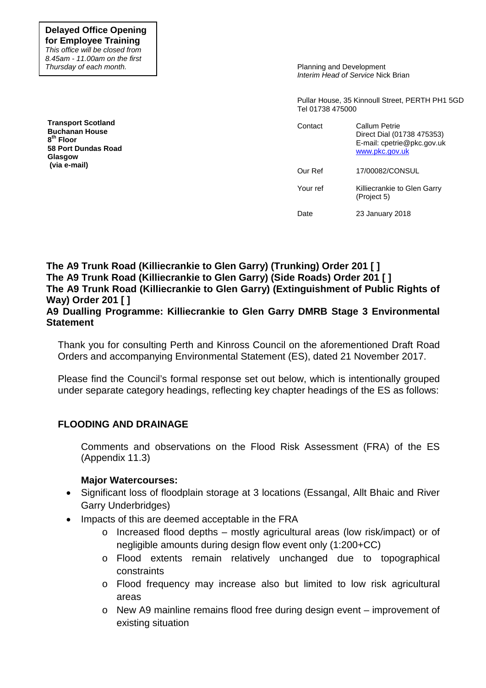**Delayed Office Opening for Employee Training** *This office will be closed from 8.45am - 11.00am on the first Thursday of each month.*

**Transport Scotland Buchanan House 8 th Floor 58 Port Dundas Road Glasgow (via e-mail)** 

Planning and Development *Interim Head of Service* Nick Brian

Pullar House, 35 Kinnoull Street, PERTH PH1 5GD Tel 01738 475000

| Contact  | Callum Petrie<br>Direct Dial (01738 475353)<br>E-mail: cpetrie@pkc.gov.uk<br>www.pkc.gov.uk |  |
|----------|---------------------------------------------------------------------------------------------|--|
| Our Ref  | 17/00082/CONSUL                                                                             |  |
| Your ref | Killiecrankie to Glen Garry<br>(Project 5)                                                  |  |
| Date     | 23 January 2018                                                                             |  |

**The A9 Trunk Road (Killiecrankie to Glen Garry) (Trunking) Order 201 [ ] The A9 Trunk Road (Killiecrankie to Glen Garry) (Side Roads) Order 201 [ ] The A9 Trunk Road (Killiecrankie to Glen Garry) (Extinguishment of Public Rights of Way) Order 201 [ ]** 

## **A9 Dualling Programme: Killiecrankie to Glen Garry DMRB Stage 3 Environmental Statement**

Thank you for consulting Perth and Kinross Council on the aforementioned Draft Road Orders and accompanying Environmental Statement (ES), dated 21 November 2017.

Please find the Council's formal response set out below, which is intentionally grouped under separate category headings, reflecting key chapter headings of the ES as follows:

# **FLOODING AND DRAINAGE**

Comments and observations on the Flood Risk Assessment (FRA) of the ES (Appendix 11.3)

# **Major Watercourses:**

- Significant loss of floodplain storage at 3 locations (Essangal, Allt Bhaic and River Garry Underbridges)
- Impacts of this are deemed acceptable in the FRA
	- o Increased flood depths mostly agricultural areas (low risk/impact) or of negligible amounts during design flow event only (1:200+CC)
	- o Flood extents remain relatively unchanged due to topographical constraints
	- o Flood frequency may increase also but limited to low risk agricultural areas
	- o New A9 mainline remains flood free during design event improvement of existing situation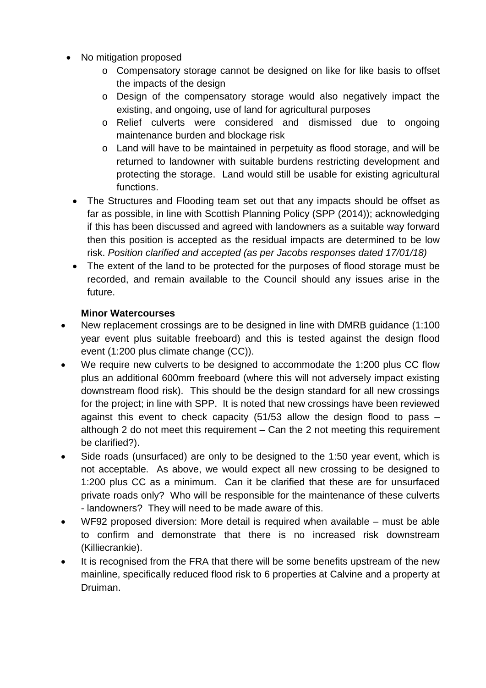- No mitigation proposed
	- o Compensatory storage cannot be designed on like for like basis to offset the impacts of the design
	- o Design of the compensatory storage would also negatively impact the existing, and ongoing, use of land for agricultural purposes
	- o Relief culverts were considered and dismissed due to ongoing maintenance burden and blockage risk
	- o Land will have to be maintained in perpetuity as flood storage, and will be returned to landowner with suitable burdens restricting development and protecting the storage. Land would still be usable for existing agricultural functions.
	- The Structures and Flooding team set out that any impacts should be offset as far as possible, in line with Scottish Planning Policy (SPP (2014)); acknowledging if this has been discussed and agreed with landowners as a suitable way forward then this position is accepted as the residual impacts are determined to be low risk. *Position clarified and accepted (as per Jacobs responses dated 17/01/18)*
	- The extent of the land to be protected for the purposes of flood storage must be recorded, and remain available to the Council should any issues arise in the future.

# **Minor Watercourses**

- New replacement crossings are to be designed in line with DMRB guidance (1:100 year event plus suitable freeboard) and this is tested against the design flood event (1:200 plus climate change (CC)).
- We require new culverts to be designed to accommodate the 1:200 plus CC flow plus an additional 600mm freeboard (where this will not adversely impact existing downstream flood risk). This should be the design standard for all new crossings for the project; in line with SPP. It is noted that new crossings have been reviewed against this event to check capacity (51/53 allow the design flood to pass – although 2 do not meet this requirement – Can the 2 not meeting this requirement be clarified?).
- Side roads (unsurfaced) are only to be designed to the 1:50 year event, which is not acceptable. As above, we would expect all new crossing to be designed to 1:200 plus CC as a minimum. Can it be clarified that these are for unsurfaced private roads only? Who will be responsible for the maintenance of these culverts - landowners? They will need to be made aware of this.
- WF92 proposed diversion: More detail is required when available must be able to confirm and demonstrate that there is no increased risk downstream (Killiecrankie).
- It is recognised from the FRA that there will be some benefits upstream of the new mainline, specifically reduced flood risk to 6 properties at Calvine and a property at Druiman.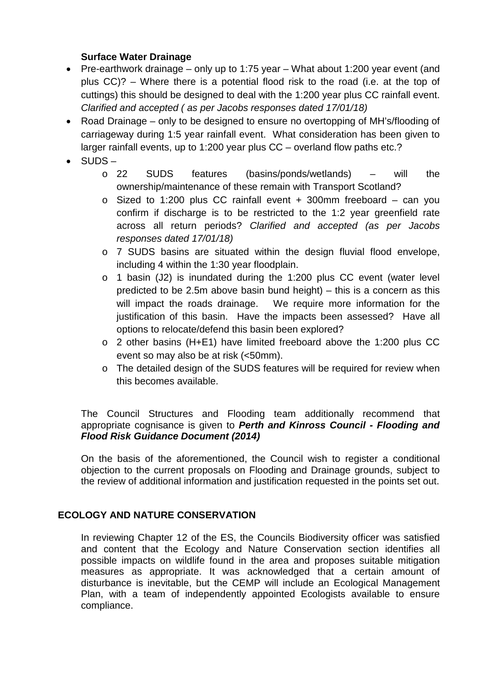# **Surface Water Drainage**

- Pre-earthwork drainage only up to 1:75 year What about 1:200 year event (and plus CC)? – Where there is a potential flood risk to the road (i.e. at the top of cuttings) this should be designed to deal with the 1:200 year plus CC rainfall event. *Clarified and accepted ( as per Jacobs responses dated 17/01/18)*
- Road Drainage only to be designed to ensure no overtopping of MH's/flooding of carriageway during 1:5 year rainfall event. What consideration has been given to larger rainfall events, up to 1:200 year plus CC – overland flow paths etc.?
- SUDS
	- o 22 SUDS features (basins/ponds/wetlands) will the ownership/maintenance of these remain with Transport Scotland?
	- o Sized to 1:200 plus CC rainfall event + 300mm freeboard can you confirm if discharge is to be restricted to the 1:2 year greenfield rate across all return periods? *Clarified and accepted (as per Jacobs responses dated 17/01/18)*
	- o 7 SUDS basins are situated within the design fluvial flood envelope, including 4 within the 1:30 year floodplain.
	- o 1 basin (J2) is inundated during the 1:200 plus CC event (water level predicted to be 2.5m above basin bund height) – this is a concern as this will impact the roads drainage. We require more information for the justification of this basin. Have the impacts been assessed? Have all options to relocate/defend this basin been explored?
	- o 2 other basins (H+E1) have limited freeboard above the 1:200 plus CC event so may also be at risk (<50mm).
	- o The detailed design of the SUDS features will be required for review when this becomes available.

# The Council Structures and Flooding team additionally recommend that appropriate cognisance is given to *Perth and Kinross Council - Flooding and Flood Risk Guidance Document (2014)*

On the basis of the aforementioned, the Council wish to register a conditional objection to the current proposals on Flooding and Drainage grounds, subject to the review of additional information and justification requested in the points set out.

# **ECOLOGY AND NATURE CONSERVATION**

In reviewing Chapter 12 of the ES, the Councils Biodiversity officer was satisfied and content that the Ecology and Nature Conservation section identifies all possible impacts on wildlife found in the area and proposes suitable mitigation measures as appropriate. It was acknowledged that a certain amount of disturbance is inevitable, but the CEMP will include an Ecological Management Plan, with a team of independently appointed Ecologists available to ensure compliance.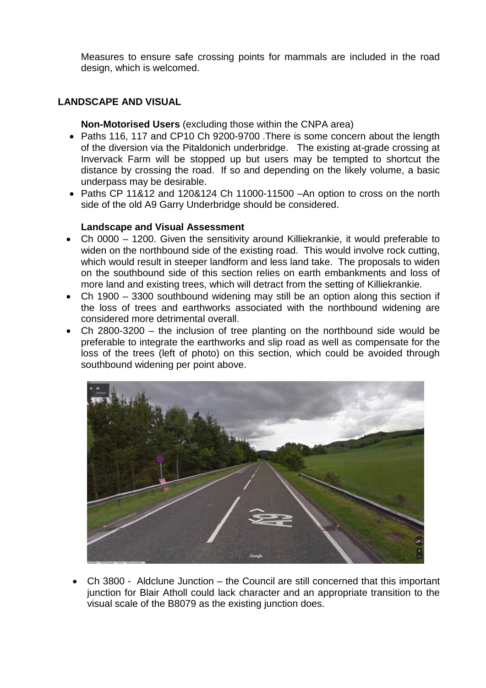Measures to ensure safe crossing points for mammals are included in the road design, which is welcomed.

# **LANDSCAPE AND VISUAL**

**Non-Motorised Users** (excluding those within the CNPA area)

- Paths 116, 117 and CP10 Ch 9200-9700 . There is some concern about the length of the diversion via the Pitaldonich underbridge. The existing at-grade crossing at Invervack Farm will be stopped up but users may be tempted to shortcut the distance by crossing the road. If so and depending on the likely volume, a basic underpass may be desirable.
- Paths CP 11&12 and 120&124 Ch 11000-11500 –An option to cross on the north side of the old A9 Garry Underbridge should be considered.

# **Landscape and Visual Assessment**

- Ch 0000 1200. Given the sensitivity around Killiekrankie, it would preferable to widen on the northbound side of the existing road. This would involve rock cutting, which would result in steeper landform and less land take. The proposals to widen on the southbound side of this section relies on earth embankments and loss of more land and existing trees, which will detract from the setting of Killiekrankie.
- Ch 1900 3300 southbound widening may still be an option along this section if the loss of trees and earthworks associated with the northbound widening are considered more detrimental overall.
- Ch 2800-3200 the inclusion of tree planting on the northbound side would be preferable to integrate the earthworks and slip road as well as compensate for the loss of the trees (left of photo) on this section, which could be avoided through southbound widening per point above.



• Ch 3800 - Aldclune Junction – the Council are still concerned that this important junction for Blair Atholl could lack character and an appropriate transition to the visual scale of the B8079 as the existing junction does.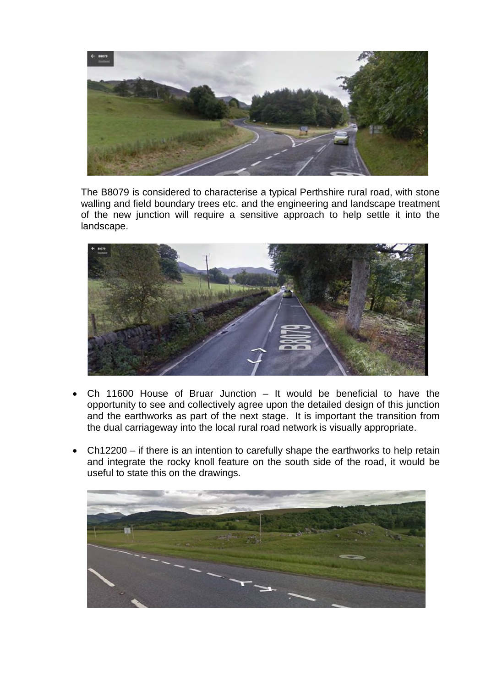

The B8079 is considered to characterise a typical Perthshire rural road, with stone walling and field boundary trees etc. and the engineering and landscape treatment of the new junction will require a sensitive approach to help settle it into the landscape.



- Ch 11600 House of Bruar Junction It would be beneficial to have the opportunity to see and collectively agree upon the detailed design of this junction and the earthworks as part of the next stage. It is important the transition from the dual carriageway into the local rural road network is visually appropriate.
- Ch12200 if there is an intention to carefully shape the earthworks to help retain and integrate the rocky knoll feature on the south side of the road, it would be useful to state this on the drawings.

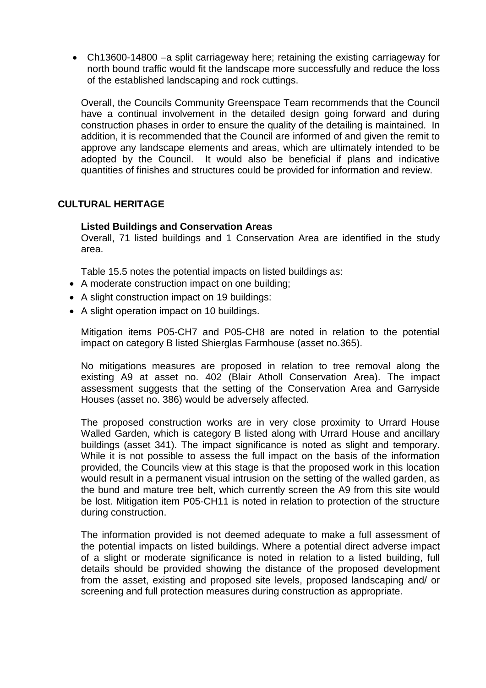• Ch13600-14800 –a split carriageway here; retaining the existing carriageway for north bound traffic would fit the landscape more successfully and reduce the loss of the established landscaping and rock cuttings.

Overall, the Councils Community Greenspace Team recommends that the Council have a continual involvement in the detailed design going forward and during construction phases in order to ensure the quality of the detailing is maintained. In addition, it is recommended that the Council are informed of and given the remit to approve any landscape elements and areas, which are ultimately intended to be adopted by the Council. It would also be beneficial if plans and indicative quantities of finishes and structures could be provided for information and review.

# **CULTURAL HERITAGE**

# **Listed Buildings and Conservation Areas**

Overall, 71 listed buildings and 1 Conservation Area are identified in the study area.

Table 15.5 notes the potential impacts on listed buildings as:

- A moderate construction impact on one building;
- A slight construction impact on 19 buildings:
- A slight operation impact on 10 buildings.

Mitigation items P05-CH7 and P05-CH8 are noted in relation to the potential impact on category B listed Shierglas Farmhouse (asset no.365).

No mitigations measures are proposed in relation to tree removal along the existing A9 at asset no. 402 (Blair Atholl Conservation Area). The impact assessment suggests that the setting of the Conservation Area and Garryside Houses (asset no. 386) would be adversely affected.

The proposed construction works are in very close proximity to Urrard House Walled Garden, which is category B listed along with Urrard House and ancillary buildings (asset 341). The impact significance is noted as slight and temporary. While it is not possible to assess the full impact on the basis of the information provided, the Councils view at this stage is that the proposed work in this location would result in a permanent visual intrusion on the setting of the walled garden, as the bund and mature tree belt, which currently screen the A9 from this site would be lost. Mitigation item P05-CH11 is noted in relation to protection of the structure during construction.

The information provided is not deemed adequate to make a full assessment of the potential impacts on listed buildings. Where a potential direct adverse impact of a slight or moderate significance is noted in relation to a listed building, full details should be provided showing the distance of the proposed development from the asset, existing and proposed site levels, proposed landscaping and/ or screening and full protection measures during construction as appropriate.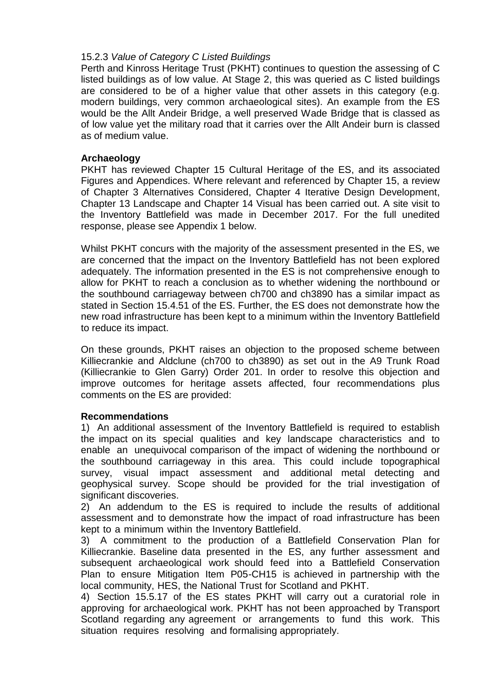# 15.2.3 *Value of Category C Listed Buildings*

Perth and Kinross Heritage Trust (PKHT) continues to question the assessing of C listed buildings as of low value. At Stage 2, this was queried as C listed buildings are considered to be of a higher value that other assets in this category (e.g. modern buildings, very common archaeological sites). An example from the ES would be the Allt Andeir Bridge, a well preserved Wade Bridge that is classed as of low value yet the military road that it carries over the Allt Andeir burn is classed as of medium value.

# **Archaeology**

PKHT has reviewed Chapter 15 Cultural Heritage of the ES, and its associated Figures and Appendices. Where relevant and referenced by Chapter 15, a review of Chapter 3 Alternatives Considered, Chapter 4 Iterative Design Development, Chapter 13 Landscape and Chapter 14 Visual has been carried out. A site visit to the Inventory Battlefield was made in December 2017. For the full unedited response, please see Appendix 1 below.

Whilst PKHT concurs with the majority of the assessment presented in the ES, we are concerned that the impact on the Inventory Battlefield has not been explored adequately. The information presented in the ES is not comprehensive enough to allow for PKHT to reach a conclusion as to whether widening the northbound or the southbound carriageway between ch700 and ch3890 has a similar impact as stated in Section 15.4.51 of the ES. Further, the ES does not demonstrate how the new road infrastructure has been kept to a minimum within the Inventory Battlefield to reduce its impact.

On these grounds, PKHT raises an objection to the proposed scheme between Killiecrankie and Aldclune (ch700 to ch3890) as set out in the A9 Trunk Road (Killiecrankie to Glen Garry) Order 201. In order to resolve this objection and improve outcomes for heritage assets affected, four recommendations plus comments on the ES are provided:

# **Recommendations**

1) An additional assessment of the Inventory Battlefield is required to establish the impact on its special qualities and key landscape characteristics and to enable an unequivocal comparison of the impact of widening the northbound or the southbound carriageway in this area. This could include topographical survey, visual impact assessment and additional metal detecting and geophysical survey. Scope should be provided for the trial investigation of significant discoveries.

2) An addendum to the ES is required to include the results of additional assessment and to demonstrate how the impact of road infrastructure has been kept to a minimum within the Inventory Battlefield.

3) A commitment to the production of a Battlefield Conservation Plan for Killiecrankie. Baseline data presented in the ES, any further assessment and subsequent archaeological work should feed into a Battlefield Conservation Plan to ensure Mitigation Item P05-CH15 is achieved in partnership with the local community, HES, the National Trust for Scotland and PKHT.

4) Section 15.5.17 of the ES states PKHT will carry out a curatorial role in approving for archaeological work. PKHT has not been approached by Transport Scotland regarding any agreement or arrangements to fund this work. This situation requires resolving and formalising appropriately.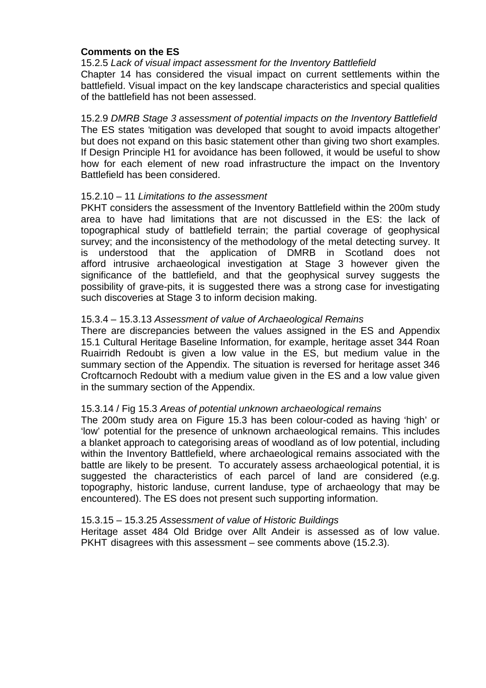## **Comments on the ES**

15.2.5 *Lack of visual impact assessment for the Inventory Battlefield* Chapter 14 has considered the visual impact on current settlements within the battlefield. Visual impact on the key landscape characteristics and special qualities of the battlefield has not been assessed.

15.2.9 *DMRB Stage 3 assessment of potential impacts on the Inventory Battlefield*  The ES states 'mitigation was developed that sought to avoid impacts altogether' but does not expand on this basic statement other than giving two short examples. If Design Principle H1 for avoidance has been followed, it would be useful to show how for each element of new road infrastructure the impact on the Inventory Battlefield has been considered.

#### 15.2.10 – 11 *Limitations to the assessment*

PKHT considers the assessment of the Inventory Battlefield within the 200m study area to have had limitations that are not discussed in the ES: the lack of topographical study of battlefield terrain; the partial coverage of geophysical survey; and the inconsistency of the methodology of the metal detecting survey. It is understood that the application of DMRB in Scotland does not afford intrusive archaeological investigation at Stage 3 however given the significance of the battlefield, and that the geophysical survey suggests the possibility of grave-pits, it is suggested there was a strong case for investigating such discoveries at Stage 3 to inform decision making.

#### 15.3.4 – 15.3.13 *Assessment of value of Archaeological Remains*

There are discrepancies between the values assigned in the ES and Appendix 15.1 Cultural Heritage Baseline Information, for example, heritage asset 344 Roan Ruairridh Redoubt is given a low value in the ES, but medium value in the summary section of the Appendix. The situation is reversed for heritage asset 346 Croftcarnoch Redoubt with a medium value given in the ES and a low value given in the summary section of the Appendix.

#### 15.3.14 / Fig 15.3 *Areas of potential unknown archaeological remains*

The 200m study area on Figure 15.3 has been colour-coded as having 'high' or 'low' potential for the presence of unknown archaeological remains. This includes a blanket approach to categorising areas of woodland as of low potential, including within the Inventory Battlefield, where archaeological remains associated with the battle are likely to be present. To accurately assess archaeological potential, it is suggested the characteristics of each parcel of land are considered (e.g. topography, historic landuse, current landuse, type of archaeology that may be encountered). The ES does not present such supporting information.

#### 15.3.15 – 15.3.25 *Assessment of value of Historic Buildings*

Heritage asset 484 Old Bridge over Allt Andeir is assessed as of low value. PKHT disagrees with this assessment – see comments above (15.2.3).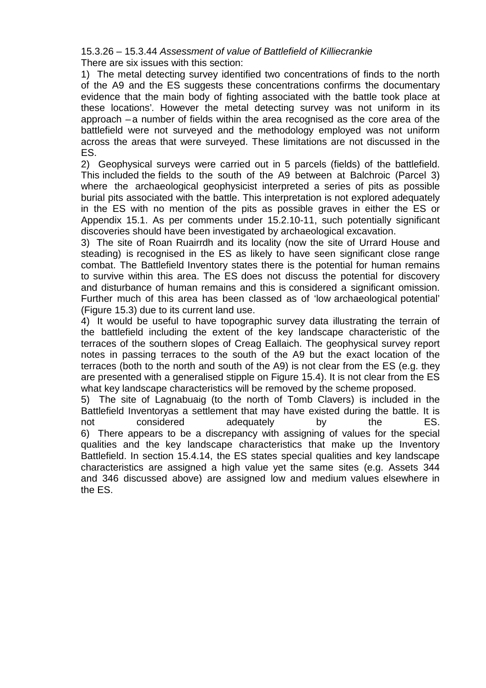15.3.26 – 15.3.44 *Assessment of value of Battlefield of Killiecrankie*  There are six issues with this section:

1) The metal detecting survey identified two concentrations of finds to the north of the A9 and the ES suggests these concentrations confirms 'the documentary evidence that the main body of fighting associated with the battle took place at these locations'. However the metal detecting survey was not uniform in its approach – a number of fields within the area recognised as the core area of the battlefield were not surveyed and the methodology employed was not uniform across the areas that were surveyed. These limitations are not discussed in the ES.

2) Geophysical surveys were carried out in 5 parcels (fields) of the battlefield. This included the fields to the south of the A9 between at Balchroic (Parcel 3) where the archaeological geophysicist interpreted a series of pits as possible burial pits associated with the battle. This interpretation is not explored adequately in the ES with no mention of the pits as possible graves in either the ES or Appendix 15.1. As per comments under 15.2.10-11, such potentially significant discoveries should have been investigated by archaeological excavation.

3) The site of Roan Ruairrdh and its locality (now the site of Urrard House and steading) is recognised in the ES as likely to have seen significant close range combat. The Battlefield Inventory states there is the potential for human remains to survive within this area. The ES does not discuss the potential for discovery and disturbance of human remains and this is considered a significant omission. Further much of this area has been classed as of 'low archaeological potential' (Figure 15.3) due to its current land use.

4) It would be useful to have topographic survey data illustrating the terrain of the battlefield including the extent of the key landscape characteristic of the terraces of the southern slopes of Creag Eallaich. The geophysical survey report notes in passing terraces to the south of the A9 but the exact location of the terraces (both to the north and south of the A9) is not clear from the ES (e.g. they are presented with a generalised stipple on Figure 15.4). It is not clear from the ES what key landscape characteristics will be removed by the scheme proposed.

5) The site of Lagnabuaig (to the north of Tomb Clavers) is included in the Battlefield Inventoryas a settlement that may have existed during the battle. It is not considered adequately by the ES. 6) There appears to be a discrepancy with assigning of values for the special qualities and the key landscape characteristics that make up the Inventory Battlefield. In section 15.4.14, the ES states special qualities and key landscape characteristics are assigned a high value yet the same sites (e.g. Assets 344 and 346 discussed above) are assigned low and medium values elsewhere in the ES.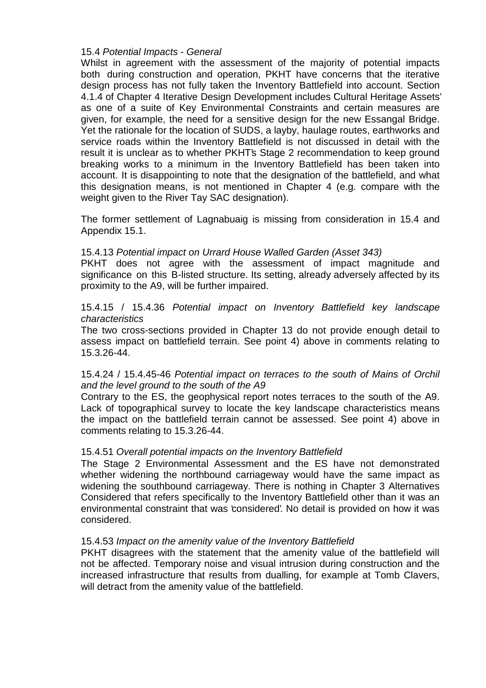## 15.4 *Potential Impacts - General*

Whilst in agreement with the assessment of the majority of potential impacts both during construction and operation, PKHT have concerns that the iterative design process has not fully taken the Inventory Battlefield into account. Section 4.1.4 of Chapter 4 Iterative Design Development includes Cultural Heritage Assets' as one of a suite of Key Environmental Constraints and certain measures are given, for example, the need for a sensitive design for the new Essangal Bridge. Yet the rationale for the location of SUDS, a layby, haulage routes, earthworks and service roads within the Inventory Battlefield is not discussed in detail with the result it is unclear as to whether PKHT's Stage 2 recommendation to keep ground breaking works to a minimum in the Inventory Battlefield has been taken into account. It is disappointing to note that the designation of the battlefield, and what this designation means, is not mentioned in Chapter 4 (e.g. compare with the weight given to the River Tay SAC designation).

The former settlement of Lagnabuaig is missing from consideration in 15.4 and Appendix 15.1.

## 15.4.13 *Potential impact on Urrard House Walled Garden (Asset 343)*

PKHT does not agree with the assessment of impact magnitude and significance on this B-listed structure. Its setting, already adversely affected by its proximity to the A9, will be further impaired.

## 15.4.15 / 15.4.36 *Potential impact on Inventory Battlefield key landscape characteristics*

The two cross-sections provided in Chapter 13 do not provide enough detail to assess impact on battlefield terrain. See point 4) above in comments relating to 15.3.26-44.

# 15.4.24 / 15.4.45-46 *Potential impact on terraces to the south of Mains of Orchil and the level ground to the south of the A9*

Contrary to the ES, the geophysical report notes terraces to the south of the A9. Lack of topographical survey to locate the key landscape characteristics means the impact on the battlefield terrain cannot be assessed. See point 4) above in comments relating to 15.3.26-44.

# 15.4.51 *Overall potential impacts on the Inventory Battlefield*

The Stage 2 Environmental Assessment and the ES have not demonstrated whether widening the northbound carriageway would have the same impact as widening the southbound carriageway. There is nothing in Chapter 3 Alternatives Considered that refers specifically to the Inventory Battlefield other than it was an environmental constraint that was 'considered'. No detail is provided on how it was considered.

#### 15.4.53 *Impact on the amenity value of the Inventory Battlefield*

PKHT disagrees with the statement that the amenity value of the battlefield will not be affected. Temporary noise and visual intrusion during construction and the increased infrastructure that results from dualling, for example at Tomb Clavers, will detract from the amenity value of the battlefield.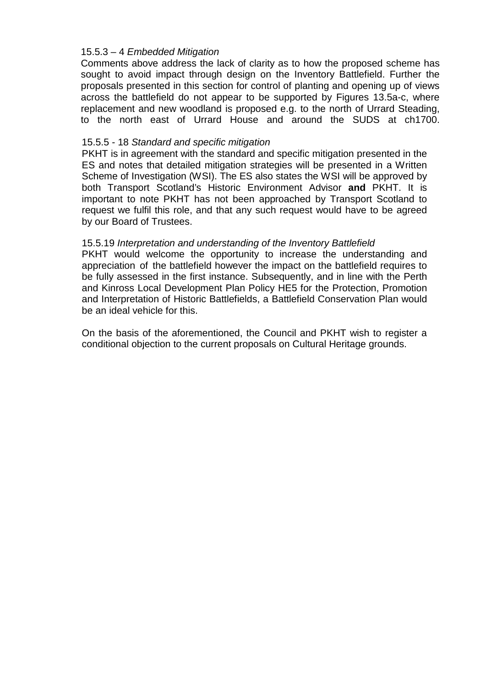# 15.5.3 – 4 *Embedded Mitigation*

Comments above address the lack of clarity as to how the proposed scheme has sought to avoid impact through design on the Inventory Battlefield. Further the proposals presented in this section for control of planting and opening up of views across the battlefield do not appear to be supported by Figures 13.5a-c, where replacement and new woodland is proposed e.g. to the north of Urrard Steading, to the north east of Urrard House and around the SUDS at ch1700.

### 15.5.5 - 18 *Standard and specific mitigation*

PKHT is in agreement with the standard and specific mitigation presented in the ES and notes that detailed mitigation strategies will be presented in a Written Scheme of Investigation (WSI). The ES also states the WSI will be approved by both Transport Scotland's Historic Environment Advisor **and** PKHT. It is important to note PKHT has not been approached by Transport Scotland to request we fulfil this role, and that any such request would have to be agreed by our Board of Trustees.

## 15.5.19 *Interpretation and understanding of the Inventory Battlefield*

PKHT would welcome the opportunity to increase the understanding and appreciation of the battlefield however the impact on the battlefield requires to be fully assessed in the first instance. Subsequently, and in line with the Perth and Kinross Local Development Plan Policy HE5 for the Protection, Promotion and Interpretation of Historic Battlefields, a Battlefield Conservation Plan would be an ideal vehicle for this.

On the basis of the aforementioned, the Council and PKHT wish to register a conditional objection to the current proposals on Cultural Heritage grounds.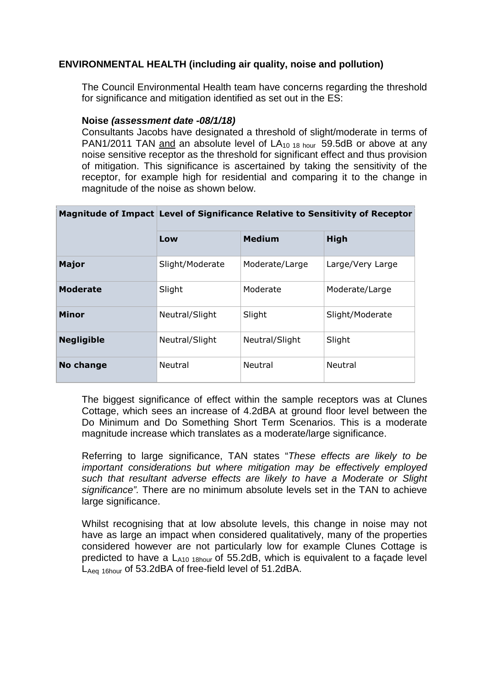# **ENVIRONMENTAL HEALTH (including air quality, noise and pollution)**

The Council Environmental Health team have concerns regarding the threshold for significance and mitigation identified as set out in the ES:

#### **Noise** *(assessment date -08/1/18)*

Consultants Jacobs have designated a threshold of slight/moderate in terms of PAN1/2011 TAN and an absolute level of  $LA<sub>10,18 hour</sub>$  59.5dB or above at any noise sensitive receptor as the threshold for significant effect and thus provision of mitigation. This significance is ascertained by taking the sensitivity of the receptor, for example high for residential and comparing it to the change in magnitude of the noise as shown below.

|                   | Magnitude of Impact Level of Significance Relative to Sensitivity of Receptor |                |                  |  |
|-------------------|-------------------------------------------------------------------------------|----------------|------------------|--|
|                   | Low                                                                           | <b>Medium</b>  | <b>High</b>      |  |
| Major             | Slight/Moderate                                                               | Moderate/Large | Large/Very Large |  |
| <b>Moderate</b>   | Slight                                                                        | Moderate       | Moderate/Large   |  |
| <b>Minor</b>      | Neutral/Slight                                                                | Slight         | Slight/Moderate  |  |
| <b>Negligible</b> | Neutral/Slight                                                                | Neutral/Slight | Slight           |  |
| No change         | <b>Neutral</b>                                                                | Neutral        | Neutral          |  |

The biggest significance of effect within the sample receptors was at Clunes Cottage, which sees an increase of 4.2dBA at ground floor level between the Do Minimum and Do Something Short Term Scenarios. This is a moderate magnitude increase which translates as a moderate/large significance.

Referring to large significance, TAN states "*These effects are likely to be important considerations but where mitigation may be effectively employed such that resultant adverse effects are likely to have a Moderate or Slight significance".* There are no minimum absolute levels set in the TAN to achieve large significance.

Whilst recognising that at low absolute levels, this change in noise may not have as large an impact when considered qualitatively, many of the properties considered however are not particularly low for example Clunes Cottage is predicted to have a  $L_{A10}$  18 <sub>hour</sub> of 55.2dB, which is equivalent to a façade level LAeq 16hour of 53.2dBA of free-field level of 51.2dBA.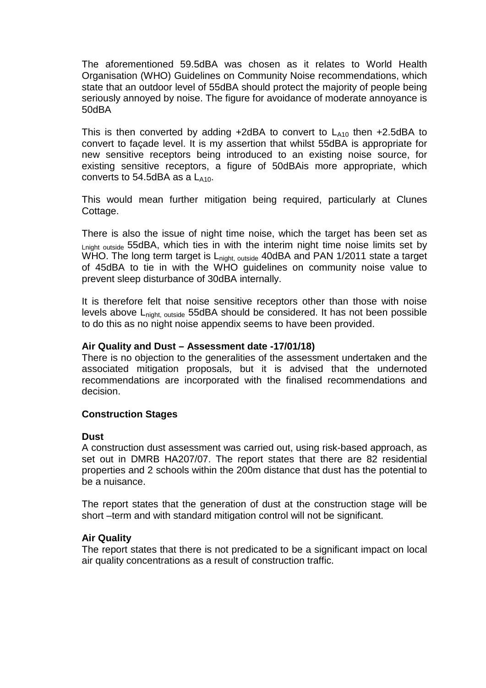The aforementioned 59.5dBA was chosen as it relates to World Health Organisation (WHO) Guidelines on Community Noise recommendations, which state that an outdoor level of 55dBA should protect the majority of people being seriously annoyed by noise. The figure for avoidance of moderate annoyance is 50dBA

This is then converted by adding  $+2dBA$  to convert to  $L_{410}$  then  $+2.5dBA$  to convert to façade level. It is my assertion that whilst 55dBA is appropriate for new sensitive receptors being introduced to an existing noise source, for existing sensitive receptors, a figure of 50dBAis more appropriate, which converts to  $54.5$ dBA as a  $L_{410}$ .

This would mean further mitigation being required, particularly at Clunes Cottage.

There is also the issue of night time noise, which the target has been set as Lnight outside 55dBA, which ties in with the interim night time noise limits set by WHO. The long term target is L<sub>night, outside</sub> 40dBA and PAN 1/2011 state a target of 45dBA to tie in with the WHO guidelines on community noise value to prevent sleep disturbance of 30dBA internally.

It is therefore felt that noise sensitive receptors other than those with noise levels above L<sub>night, outside</sub> 55dBA should be considered. It has not been possible to do this as no night noise appendix seems to have been provided.

## **Air Quality and Dust – Assessment date -17/01/18)**

There is no objection to the generalities of the assessment undertaken and the associated mitigation proposals, but it is advised that the undernoted recommendations are incorporated with the finalised recommendations and decision.

# **Construction Stages**

#### **Dust**

A construction dust assessment was carried out, using risk-based approach, as set out in DMRB HA207/07. The report states that there are 82 residential properties and 2 schools within the 200m distance that dust has the potential to be a nuisance.

The report states that the generation of dust at the construction stage will be short –term and with standard mitigation control will not be significant.

#### **Air Quality**

The report states that there is not predicated to be a significant impact on local air quality concentrations as a result of construction traffic.